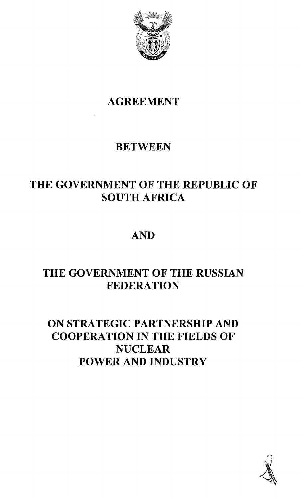

# AGREEMENT

## **BETWEEN**

# THE GOVERNMENT OF THE REPUBLIC OF SOUTH AFRICA

## AND

## THE GOVERNMENT OF THE RUSSIAN **FEDERATION**

## ON STRATEGIC PARTNERSHIP AND COOPERATION IN THE FIELDS OF **NUCLEAR** POWER AND INDUSTRY

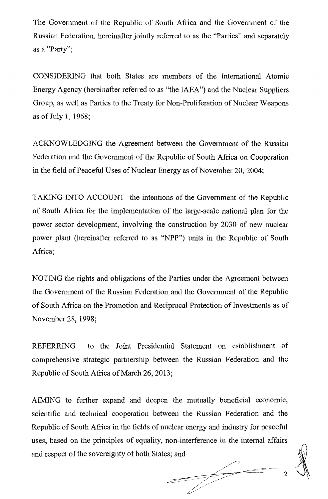The Government of the Republic of South Africa and the Government of the Russian Federation, hereinafter jointly referred to as the "Parties" and separately as a "Party";

CONSIDERING that both States are members of the International Atomic Energy Agency (hereinafter referred to as "the IAEA") and the Nuclear Suppliers Group, as well as Parties to the Treaty for Non-Proliferation of Nuclear Weapons as of July 1,  $1968$ ;

ACKNOWLEDGING the Agreement between the Government of the Russian Federation and the Government of the Republic of South Africa on Cooperation in the field of Peaceful Uses of Nuclear Energy as of November 20, 2004;

TAKING INTO ACCOUNT the intentions of the Government of the Republic of South Africa for the implementation of the large-scale national plan for the power sector development, involving the construction by 2030 of new nuclear power plant (hereinafter referred to as "NPP") units in the Republic of South Africa;

NOTING the rights and obligations of the Parties under the Agreement between the Government of the Russian Federation and the Government of the Republic of South Africa on the Promotion and Reciprocal Protection of Investments as of November 28, 1998;

REFERRING to the Joint Presidential Statement on establishment of comprehensive strategic partnership between the Russian Federation and the Republic of South Africa of March 26, 2013;

AIMING to further expand and deepen the mutually beneficial economic, scientific and technical cooperation between the Russian Federation and the Republic of South Africa in the fields of nuclear energy and industry for peaceful uses, based on the principles of equality, non-interference in the internal affairs and respect of the sovereignty of both States; and  $\frac{1}{\sqrt{1-\frac{1}{2}}}\left( \frac{1}{\sqrt{1-\frac{1}{2}}}\right) \left( \frac{1}{\sqrt{1-\frac{1}{2}}}\right)$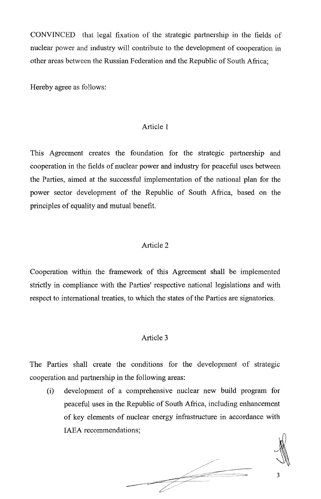CONVINCED that legal fixation of the strategic partnership in the fields of nuclear power and industry will contribute to the development of cooperation in other areas between the Russian Federation and the Republic of South Africa;

Hereby agree as follows:

#### Article 1

This Agreement creates the foundation for the strategic partnership and cooperation in the fields of nuclear power and industry for peaceful uses between the Parties, aimed at the successful implementation of the national plan for the power sector development of the Republic of South Africa, based on the principles of equality and mutual benefit.

#### Article 2

Cooperation within the framework of this Agreement shall be implemented strictly in compliance with the Parties' respective national legislations and with respect to international treaties, to which the states of the Parties are signatories.

### Article 3

The Parties shall create the conditions for the development of strategic cooperation and partnership in the following areas:

(i) development of a comprehensive nuclear new build program for peaceful uses in the Republic of South Africa, including enhancement of key elements of nuclear energy infrastructure in accordance with IAEA recommendations;

 $\frac{1}{\sqrt{1-\frac{1}{2}}}\left( \frac{1}{\sqrt{1-\frac{1}{2}}}\right) \left( \frac{1}{\sqrt{1-\frac{1}{2}}}\right)$ 

3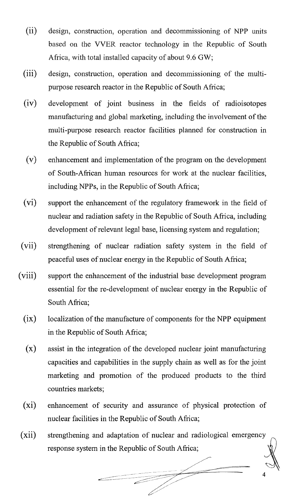- (ii) design, construction, operation and decommissioning of NPP units based on the VVER reactor technology in the Republic of South Africa, with total installed capacity of about 9,6 GW;
- (iii) design, construction, operation and decommissioning of the multipurpose research reactor in the Republic of South Africa;
- (iv) development of joint business in the fields of radioisotopes manufacturing and global marketing, including the involvement of the multi-purpose research reactor facilities planned for construction in the Republic of South Africa;
- $(v)$  enhancement and implementation of the program on the development of South-African human resources for work at the nuclear facilities, including NPPs, in the Republic of South Africa;
- (vi) support the enhancement of the regulatory framework in the field of nuclear and radiation safety in the Republic of South Africa, including development of relevant legal base, licensing system and regulation;
- (vii) strengthening of nuclear radiation safety system in the field of peaceful uses of nuclear energy in the Republic of South Africa;
- (viii) support the enhancement of the industrial base development program essential for the re-development of nuclear energy in the Republic of South Africa;
	- $(ix)$  localization of the manufacture of components for the NPP equipment in the Republic of South Africa;
	- (x) assist in the integration of the developed nuclear joint manufacturing capacities and capabilities in the supply chain as well as for the joint marketing and promotion of the produced products to the third countries markets;
	- (xi) enhancement of security and assurance of physical protection of nuclear facilities in the Republic of South Africa;
- (xii) strengthening and adaptation of nuclear and radiological emergency response system in the Republic of South Africa;

~/.

c::~===:~~~~~:==~:~:~ *4*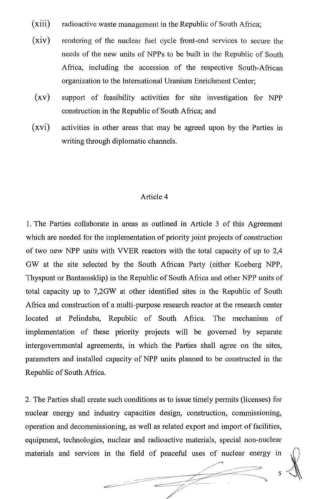- $(xiii)$ radioactive waste management in the Republic of South Africa;
- (xiv) rendering of the nuclear fuel cycle front-end services to secure the needs of the new units of NPPs to be built in the Republic of South Africa, including the accession of the respective South-African organization to the International Uranium Enrichment Center;
- $\left( xv\right)$ support of feasibility activities for site investigation for NPP construction in the Republic of South Africa; and
- (xvi) activities in other areas that may be agreed upon by the Parties in writing through diplomatic channels.

#### Article 4

1. The Parties collaborate in areas as outlined in Article 3 of this Agreement which are needed for the implementation of priority joint projects of construction of two new NPP units with VVER reactors with the total capacity of up to 2,4 GW at the site selected by the South African Party (either Koeberg NPP, Thyspunt or Bantamsklip) in the Republic of South Africa and other NPP units of total capacity up to 7,2GW at other identified sites in the Republic of South Africa and construction of a multi-purpose research reactor at the research center located at Pelindaba, Republic of South Africa. The mechanism of implementation of these priority projects will be governed by separate intergovernmental agreements, in which the Parties shall agree on the sites, parameters and installed capacity of NPP units planned to be constructed in the Republic of South Africa.

2. The Parties shall create such conditions as to issue timely permits (licenses) for nuclear energy and industry capacities design, construction, commissioning, operation and decommissioning, as well as related export and import offacilities, equipment, technologies, nuclear and radioactive materials, special non-nuclear operation and decommissioning, as well as related export and import of facilities,<br>equipment, technologies, nuclear and radioactive materials, special non-nuclear<br>materials and services in the field of peaceful uses of nuc

 $\varsigma$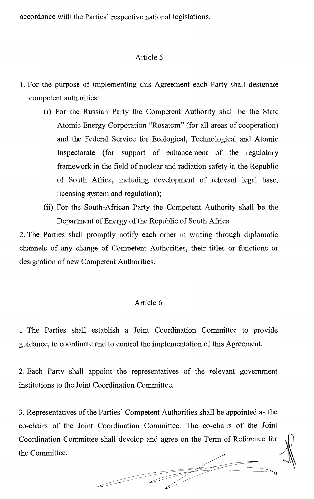accordance with the Parties' respective national legislations.

### Article 5

- 1. For the purpose of implementing this Agreement each Party shall designate competent authorities:
	- (i) For the Russian Party the Competent Authority shall be the State Atomic Energy Corporation "Rosatom" (for all areas of cooperation) and the Federal Service for Ecological, Technological and Atomic Inspectorate (for support of enhancement of the regulatory framework in the field of nuclear and radiation safety in the Republic of South Africa, including development of relevant legal base, licensing system and regulation);
	- (ii) For the South-African Party the Competent Authority shall be the Department of Energy of the Republic of South Africa.

2. The Parties shall promptly notify each other in writing through diplomatic channels of any change of Competent Authorities, their titles or functions or designation of new Competent Authorities.

### Article 6

1. The Parties shall establish a Joint Coordination Committee to provide guidance, to coordinate and to control the implementation of this Agreement.

2. Each Party shall appoint the representatives of the relevant government institutions to the Joint Coordination Committee.

3. Representatives ofthe Parties' Competent Authorities shall be appointed as the co-chairs of the Joint Coordination Committee. The co-chairs of the Joint Coordination Committee shall develop and agree on the Term of Reference for the Committee.  $\frac{1}{\sqrt{1-\frac{1}{\sqrt{1-\frac{1}{\sqrt{1-\frac{1}{\sqrt{1-\frac{1}{\sqrt{1-\frac{1}{\sqrt{1-\frac{1}{\sqrt{1-\frac{1}{\sqrt{1-\frac{1}{\sqrt{1-\frac{1}{\sqrt{1-\frac{1}{\sqrt{1-\frac{1}{\sqrt{1-\frac{1}{\sqrt{1-\frac{1}{\sqrt{1-\frac{1}{\sqrt{1-\frac{1}{\sqrt{1-\frac{1}{\sqrt{1-\frac{1}{\sqrt{1-\frac{1}{\sqrt{1-\frac{1}{\sqrt{1-\frac{1}{\sqrt{1-\frac{1}{\sqrt{1-\frac{1}{\sqrt{1-\frac{1}{\sqrt{1-\frac{1$ 

 $\overline{\phantom{a}}$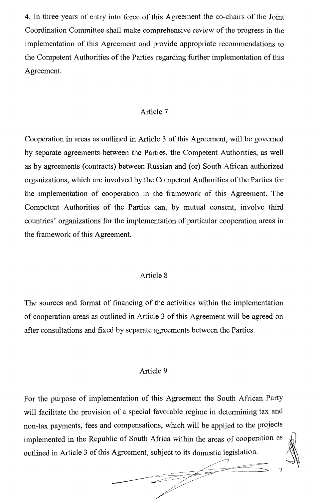4. In three years of entry into force of this Agreement the co-chairs of the Joint Coordination Committee shall make comprehensive review of the progress in the implementation of this Agreement and provide appropriate recommendations to the Competent Authorities of the Parties regarding further implementation of this Agreement.

### Article 7

Cooperation in areas as outlined in Article 3 of this Agreement, will be governed by separate agreements between the Parties, the Competent Authorities, as well as by agreements (contracts) between Russian and (or) South African authorized organizations, which are involved by the Competent Authorities of the Parties for the implementation of cooperation in the framework of this Agreement. The Competent Authorities of the Parties can, by mutual consent, involve third countries' organizations for the implementation of particular cooperation areas in the framework of this Agreement.

#### Article 8

The sources and fonnat of financing of the activities within the implementation of cooperation areas as outlined in Article 3 of this Agreement will be agreed on after consultations and fixed by separate agreements between the Parties.

### Article 9

For the purpose of implementation of this Agreement the South African Party will facilitate the provision of a special favorable regime in determining tax and non-tax payments, fees and compensations, which will be applied to the projects implemented in the Republic of South Africa within the areas of cooperation as outlined in Article 3 of this Agreement, subject to its domestic legislation.

\_\_\_\_ ~::c~:..----/ ---- -

.="cc=cc==~~~~;;;~;;;;~:-.c~=~'~~=~ 7 .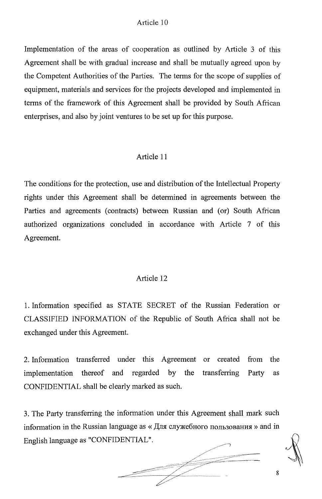#### Article 10

Implementation of the areas of cooperation as outlined by Article 3 of this Agreement shall be with gradual increase and shall be mutually agreed upon by the Competent Authorities of the Parties. The terms for the scope of supplies of equipment, materials and services for the projects developed and implemented in tenns of the framework of this Agreement shall be provided by South African enterprises, and also by joint ventures to be set up for this purpose.

#### Article 11

The conditions for the protection, use and distribution of the Intellectual Property rights under this Agreement shall be detennined in agreements between the Parties and agreements (contracts) between Russian and (or) South African authorized organizations concluded in accordance with Article 7 of this Agreement.

#### Article 12

1. Infonnation specified as STATE SECRET of the Russian Federation or CLASSIFIED INFORMATION of the Republic of South Africa shall not be exchanged under this Agreement.

2. Information transferred under this Agreement or created from the implementation thereof and regarded by the transferring Party as CONFIDENTIAL shall be clearly marked as such.

3. The Party transferring the information under this Agreement shall mark such information in the Russian language as «Для служебного пользования » and in English language as "CONFIDENTIAL".

 $\begin{picture}(20,20) \put(0,0){\line(1,0){150}} \put(15,0){\line(1,0){150}} \put(15,0){\line(1,0){150}} \put(15,0){\line(1,0){150}} \put(15,0){\line(1,0){150}} \put(15,0){\line(1,0){150}} \put(15,0){\line(1,0){150}} \put(15,0){\line(1,0){150}} \put(15,0){\line(1,0){150}} \put(15,0){\line(1,0){150}} \put(15,0){\line(1,0){150}} \$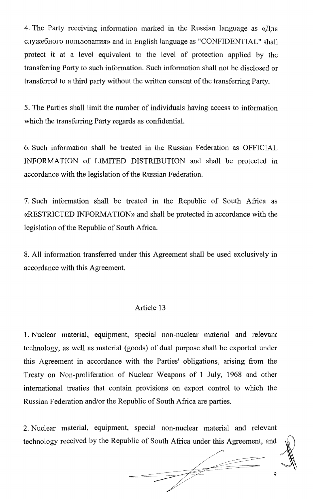4. The Party receiving information marked in the Russian language as  $\alpha/\sqrt{J}$ CJIy)l(e6Horo nOJIh30BaHHJI» and in English language as "CONFIDENTIAL" shall protect it at a level equivalent to the level of protection applied by the transferring Party to such information. Such information shall not be disclosed or transferred to a third party without the written consent of the transferring Party.

5. The Parties shall limit the number of individuals having access to information which the transferring Party regards as confidential.

6. Such information shall be treated in the Russian Federation as OFFICIAL INFORMATION of LIMITED DISTRIBUTION and shall be protected in accordance with the legislation of the Russian Federation.

7. Such information shall be treated in the Republic of South Africa as «RESTRICTED INFORMATION» and shall be protected in accordance with the legislation of the Republic of South Africa.

8. All information transferred under this Agreement shall be used exclusively in accordance with this Agreement.

#### Article 13

1. Nuclear material, equipment, special non-nuclear material and relevant technology, as well as material (goods) of dual purpose shall be exported under this Agreement in accordance with the Parties' obligations, arising from the Treaty on Non-proliferation of Nuclear Weapons of 1 July, 1968 and other international treaties that contain provisions on export control to which the Russian Federation and/or the Republic of South Africa are parties.

2. Nuclear material, equipment, special non-nuclear material and relevant technology received by the Republic of South Africa under this Agreement, and

 $\sqrt{2\pi\alpha}$  ,  $\sim$ 

 $\sqrt{ }$  $\angle$  , and the set of the set of the set of the set of the set of the set of the set of the set of the set of the set of the set of the set of the set of the set of the set of the set of the set of the set of the set of t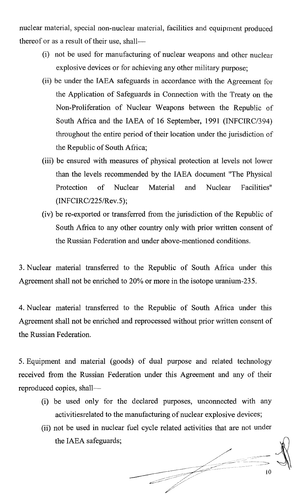nuclear material, special non-nuclear material, facilities and equipment produced thereof or as a result of their use, shall--

- (i) not be used for manufacturing of nuclear weapons and other nuclear explosive devices or for achieving any other military purpose;
- (ii) be under the IAEA safeguards in accordance with the Agreement for the Application of Safeguards in Connection with the Treaty on the Non-Proliferation of Nuclear Weapons between the Republic of South Africa and the IAEA of 16 September, 1991 (INFCIRC/394) throughout the entire period of their location under the jurisdiction of the Republic of South Africa;
- (iii) be ensured with measures of physical protection at levels not lower than the levels recommended by the IAEA document "The Physical Protection of Nuclear Material and Nuclear Facilities" (INFCIRC/225/Rev.5);
- (iv) be re-exported or transferred from the jurisdiction of the Republic of South Africa to any other country only with prior written consent of the Russian Federation and under above-mentioned conditions.

3. Nuclear material transferred to the Republic of South Africa under this Agreement shall not be enriched to 20% or more in the isotope uranium-235.

4. Nuclear material transferred to the Republic of South Africa under this Agreement shall not be enriched and reprocessed without prior written consent of the Russian Federation.

5. Equipment and material (goods) of dual purpose and related technology received from the Russian Federation under this Agreement and any of their reproduced copies, shall-

- (1) be used only for the declared purposes, unconnected with any activitiesrelated to the manufacturing of nuclear explosive devices;
- (ii) not be used in nuclear fuel cycle related activities that are not under the IAEA safeguards;

and the contract of the contract of

 $\epsilon \rightarrow 0$ 

\_.. .~~~C:C.c'=~--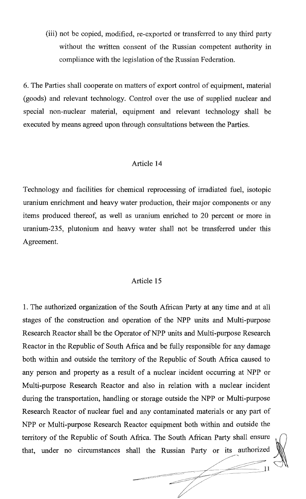(iii) not be copied, modified, re-exported or transferred to any third party without the written consent of the Russian competent authority in compliance with the legislation of the Russian Federation.

6. The Parties shall cooperate on matters of export control of equipment, material (goods) and relevant technology. Control over the use of supplied nuclear and special non-nuclear material, equipment and relevant technology shall be executed by means agreed upon through consultations between the Parties.

### Article 14

Technology and facilities for chemical reprocessing of irradiated fuel, isotopic uranium enrichment and heavy water production, their major components or any items produced thereof, as well as uranium enriched to 20 percent or more in uranium-235, plutonium and heavy water shall not be transferred under this Agreement.

## Article 15

1. The authorized organization of the South African Party at any time and at all stages of the construction and operation of the NPP units and Multi-purpose Research Reactor shall be the Operator of NPP units and Multi-purpose Research Reactor in the Republic of South Africa and be fully responsible for any damage both within and outside the territory of the Republic of South Africa caused to any person and property as a result of a nuclear incident occurring at NPP or Multi-purpose Research Reactor and also in relation with a nuclear incident during the transportation, handling or storage outside the NPP or Multi-purpose Research Reactor of nuclear fuel and any contaminated materials or any part of NPP or Multi-purpose Research Reactor equipment both within and outside the territory of the Republic of South Africa. The South African Party shall ensure that, under no circumstances shall the Russian Party or its authorized

> ~-//  $\mathbb{N}$

 $\frac{1}{\sqrt{2}}$  ,  $\frac{1}{\sqrt{2}}$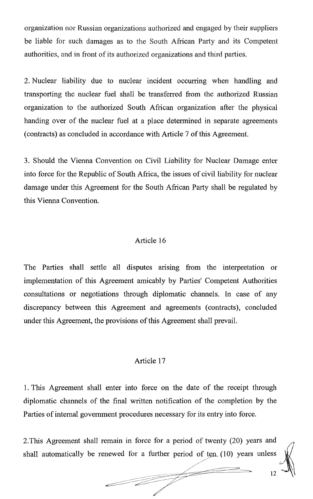organization nor Russian organizations authorized and engaged by their suppliers be liable for such damages as to the South African Party and its Competent authorities, and in front of its authorized organizations and third parties.

2. Nuclear liability due to nuclear incident occurring when handling and transporting the nuclear fuel shall be transferred from the authorized Russian organization to the authorized South African organization after the physical handing over of the nuclear fuel at a place determined in separate agreements (contracts) as concluded in accordance with Article 7 of this Agreement.

3. Should the Vienna Convention on Civil Liability for Nuclear Damage enter into force for the Republic of South Africa, the issues of civil liability for nuclear damage under this Agreement for the South African Party shall be regulated by this Vienna Convention.

### Article 16

The Parties shall settle all disputes arising from the interpretation or implementation of this Agreement amicably by Parties' Competent Authorities consultations or negotiations through diplomatic channels. In case of any discrepancy between this Agreement and agreements (contracts), concluded under this Agreement, the provisions of this Agreement shall prevail.

### Article 17

1. This Agreement shall enter into force on the date of the receipt through diplomatic channels of the final written notification of the completion by the Parties of internal government procedures necessary for its entry into force.

2. This Agreement shall remain in force for a period of twenty  $(20)$  years and shall automatically be renewed for a further period of ten (10) years unless  $\frac{1}{\sqrt{2}}$ 

 $\frac{1}{2}$   $\frac{1}{2}$   $\frac{1}{2}$   $\frac{1}{2}$   $\frac{1}{2}$   $\frac{1}{2}$   $\frac{1}{2}$   $\frac{1}{2}$   $\frac{1}{2}$   $\frac{1}{2}$   $\frac{1}{2}$   $\frac{1}{2}$   $\frac{1}{2}$   $\frac{1}{2}$   $\frac{1}{2}$   $\frac{1}{2}$   $\frac{1}{2}$   $\frac{1}{2}$   $\frac{1}{2}$   $\frac{1}{2}$   $\frac{1}{2}$   $\frac{1}{2}$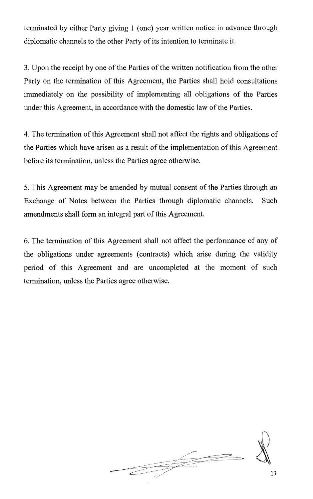terminated by either Party giving 1 (one) year written notice in advance through diplomatic channels to the other Party of its intention to terminate it.

3. Upon the receipt by one of the Parties of the written notification from the other Party on the termination of this Agreement, the Parties shall hold consultations immediately on the possibility of implementing all obligations of the Parties under this Agreement, in accordance with the domestic law of the Parties.

4. The termination of this Agreement shall not affect the rights and obligations of the Parties which have arisen as a result of the implementation of this Agreement before its termination, unless the Parties agree otherwise.

5. This Agreement may be amended by mutual consent of the Parties through an Exchange of Notes between the Parties through diplomatic channels. Such amendments shall form an integral part of this Agreement.

6. The termination of this Agreement shall not affect the performance of any of the obligations under agreements (contracts) which arise during the validity period of this Agreement and are uncompleted at the moment of such termination, unless the Parties agree otherwise.